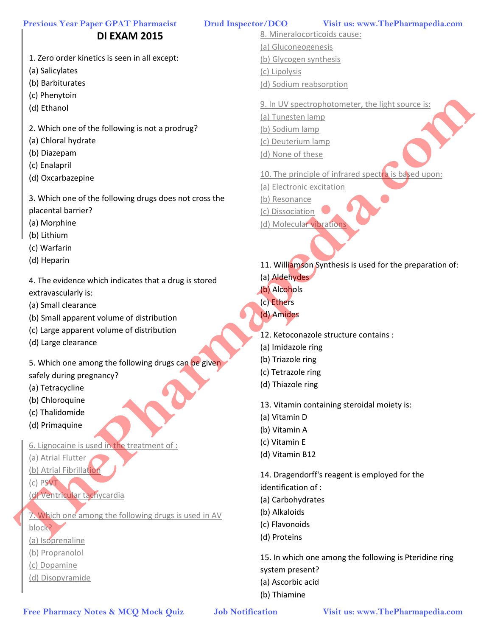# **DI EXAM 2015**

- 1. Zero order kinetics is seen in all except:
- (a) Salicylates
- (b) Barbiturates
- (c) Phenytoin
- (d) Ethanol
- 2. Which one of the following is not a prodrug?
- (a) Chloral hydrate
- (b) Diazepam
- (c) Enalapril
- (d) Oxcarbazepine
- 3. Which one of the following drugs does not cross the placental barrier?
- (a) Morphine
- (b) Lithium
- (c) Warfarin
- (d) Heparin
- 4. The evidence which indicates that a drug is stored extravascularly is:
- (a) Small clearance
- (b) Small apparent volume of distribution
- (c) Large apparent volume of distribution
- (d) Large clearance
- 5. Which one among the following drugs can be given safely during pregnancy?
- (a) Tetracycline
- (b) Chloroquine
- (c) Thalidomide
- (d) Primaquine
- 6. Lignocaine is used in the treatment of :
- (a) Atrial Flutter
- (b) Atrial Fibrillation
- (c) PSVT
- (d) Ventricular tachycardia

7. Which one among the following drugs is used in AV block? (a) Isoprenaline

- (b) Propranolol
- (c) Dopamine
- (d) Disopyramide

8. Mineralocorticoids cause: (a) Gluconeogenesis (b) Glycogen synthesis (c) Lipolysis (d) Sodium reabsorption

9. In UV spectrophotometer, the light source is:

- (a) Tungsten lamp
- (b) Sodium lamp (c) Deuterium lamp
- (d) None of these
- 10. The principle of infrared spectra is based upon:
- (a) Electronic excitation
- (b) Resonance
- (c) Dissociation
- (d) Molecular vibration
- 11. Williamson Synthesis is used for the preparation of:
- (a) Aldehydes
- (b) Alcohols
- (c) Ethers
- (d) Amides
- 12. Ketoconazole structure contains :
- (a) Imidazole ring
- (b) Triazole ring
- (c) Tetrazole ring
- (d) Thiazole ring
- 13. Vitamin containing steroidal moiety is:
- (a) Vitamin D
- (b) Vitamin A
- (c) Vitamin E
- (d) Vitamin B12

14. Dragendorff's reagent is employed for the

identification of :

- (a) Carbohydrates
- (b) Alkaloids
- (c) Flavonoids
- (d) Proteins

15. In which one among the following is Pteridine ring system present? (a) Ascorbic acid (b) Thiamine **Free Pharmacy Motes & MCQ Mock Quiz <br>
The Pharmacy Notes & MCQ Mock Quiz <br>
(Figure Pharmacy Notes & MCQ Mock Quiz <br>
The Pharmacy Notes & MCQ Mock Quiz <br>
<b>Free Pharmacy Notes & MCQ Mock Quiz <br>
The Pharmacy Theoretical Scie**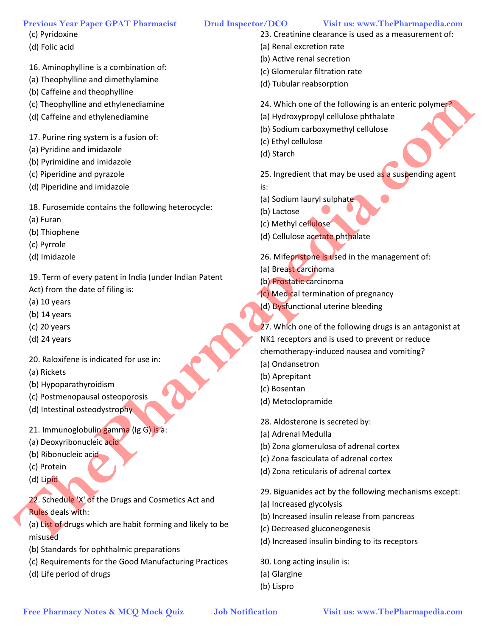- (c) Pyridoxine
- (d) Folic acid
- 16. Aminophylline is a combination of:
- (a) Theophylline and dimethylamine
- (b) Caffeine and theophylline
- (c) Theophylline and ethylenediamine
- (d) Caffeine and ethylenediamine
- 17. Purine ring system is a fusion of:
- (a) Pyridine and imidazole
- (b) Pyrimidine and imidazole
- (c) Piperidine and pyrazole
- (d) Piperidine and imidazole
- 18. Furosemide contains the following heterocycle:
- (a) Furan
- (b) Thiophene
- (c) Pyrrole
- (d) Imidazole
- 19. Term of every patent in India (under Indian Patent
- Act) from the date of filing is:
- (a) 10 years
- (b) 14 years
- (c) 20 years
- (d) 24 years
- 20. Raloxifene is indicated for use in:
- (a) Rickets
- (b) Hypoparathyroidism
- (c) Postmenopausal osteoporosis
- (d) Intestinal osteodystrophy
- 21. Immunoglobulin gamma (Ig G) is a:
- (a) Deoxyribonucleic acid
- (b) Ribonucleic acid
- (c) Protein
- (d) Lipid

22. Schedule 'X' of the Drugs and Cosmetics Act and Rules deals with:

- (a) List of drugs which are habit forming and likely to be misused
- (b) Standards for ophthalmic preparations
- (c) Requirements for the Good Manufacturing Practices
- (d) Life period of drugs

- 23. Creatinine clearance is used as a measurement of:
- (a) Renal excretion rate
- (b) Active renal secretion
- (c) Glomerular filtration rate
- (d) Tubular reabsorption
- 24. Which one of the following is an enteric polymer?
- (a) Hydroxypropyl cellulose phthalate
- (b) Sodium carboxymethyl cellulose
- (c) Ethyl cellulose
- (d) Starch

25. Ingredient that may be used as a suspending agent

is:

- (a) Sodium lauryl sulphate
- (b) Lactose
- (c) Methyl cellulose
- (d) Cellulose acetate phthalate
- 26. Mifepristone is used in the management of:
- (a) Breast carcinoma
- (b) Prostatic carcinoma
- (c) Medical termination of pregnancy
- (d) Dysfunctional uterine bleeding

27. Which one of the following drugs is an antagonist at NK1 receptors and is used to prevent or reduce chemotherapy-induced nausea and vomiting? Free Pharmacy Notes & McQ Mock Computer and Computer and Computer and Computer and Computer and Computer and Computer and Computer and Computer and Computer and Computer and Computer and Computer and Computer and Computer

- (a) Ondansetron
- (b) Aprepitant
- (c) Bosentan
- (d) Metoclopramide

28. Aldosterone is secreted by:

- (a) Adrenal Medulla
- (b) Zona glomerulosa of adrenal cortex
- (c) Zona fasciculata of adrenal cortex
- (d) Zona reticularis of adrenal cortex

29. Biguanides act by the following mechanisms except:

- (a) Increased glycolysis
- (b) Increased insulin release from pancreas
- (c) Decreased gluconeogenesis
- (d) Increased insulin binding to its receptors

30. Long acting insulin is:

- (a) Glargine
- (b) Lispro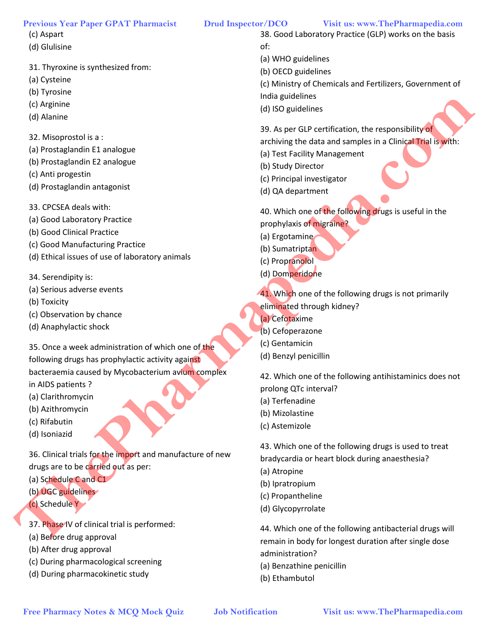- (c) Aspart
- (d) Glulisine
- 31. Thyroxine is synthesized from:
- (a) Cysteine
- (b) Tyrosine
- (c) Arginine
- (d) Alanine
- 32. Misoprostol is a :
- (a) Prostaglandin E1 analogue
- (b) Prostaglandin E2 analogue
- (c) Anti progestin
- (d) Prostaglandin antagonist
- 33. CPCSEA deals with:
- (a) Good Laboratory Practice
- (b) Good Clinical Practice
- (c) Good Manufacturing Practice
- (d) Ethical issues of use of laboratory animals
- 34. Serendipity is:
- (a) Serious adverse events
- (b) Toxicity
- (c) Observation by chance
- (d) Anaphylactic shock

35. Once a week administration of which one of the following drugs has prophylactic activity against bacteraemia caused by Mycobacterium avium complex **Free Pharmacy Notes & MCQ Mock Quiz Job Notification Visit us: www.ThePharmapedia.com ThePharmapedia.com**

in AIDS patients ?

- (a) Clarithromycin
- (b) Azithromycin
- (c) Rifabutin
- (d) Isoniazid

36. Clinical trials for the import and manufacture of new drugs are to be carried out as per:

- (a) Schedule C and C1
- (b) UGC guidelines
- (c) Schedule Y
- 37. Phase IV of clinical trial is performed:
- (a) Before drug approval
- (b) After drug approval
- (c) During pharmacological screening
- (d) During pharmacokinetic study

38. Good Laboratory Practice (GLP) works on the basis of:

(a) WHO guidelines

- (b) OECD guidelines
- (c) Ministry of Chemicals and Fertilizers, Government of India guidelines
- (d) ISO guidelines
- 39. As per GLP certification, the responsibility of

archiving the data and samples in a Clinical Trial is with:

- (a) Test Facility Management
- (b) Study Director
- (c) Principal investigator
- (d) QA department

40. Which one of the following drugs is useful in the prophylaxis of migraine?

- (a) Ergotamine
- (b) Sumatriptan
- (c) Propranolol
- (d) Domperidone

41. Which one of the following drugs is not primarily eliminated through kidney?

- (a) Cefotaxime
- (b) Cefoperazone
- (c) Gentamicin
- (d) Benzyl penicillin

42. Which one of the following antihistaminics does not prolong QTc interval?

- (a) Terfenadine
- (b) Mizolastine
- (c) Astemizole

43. Which one of the following drugs is used to treat bradycardia or heart block during anaesthesia?

- (a) Atropine
- (b) Ipratropium
- (c) Propantheline
- (d) Glycopyrrolate

44. Which one of the following antibacterial drugs will remain in body for longest duration after single dose administration?

- (a) Benzathine penicillin
- (b) Ethambutol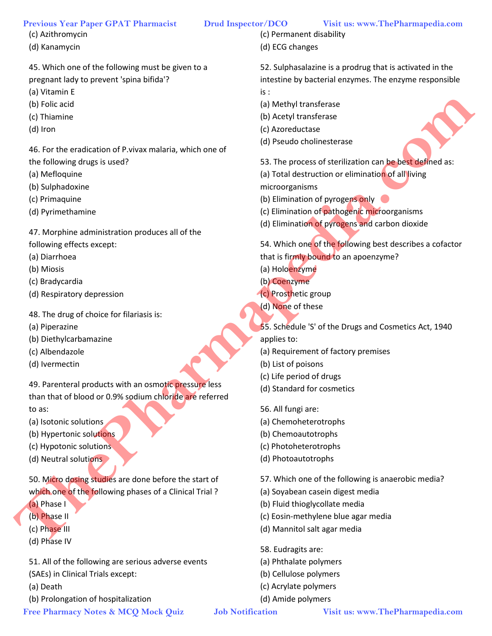- (c) Azithromycin
- (d) Kanamycin

45. Which one of the following must be given to a pregnant lady to prevent 'spina bifida'?

- (a) Vitamin E
- (b) Folic acid
- (c) Thiamine
- (d) Iron

46. For the eradication of P.vivax malaria, which one of

- the following drugs is used?
- (a) Mefloquine
- (b) Sulphadoxine
- (c) Primaquine
- (d) Pyrimethamine

47. Morphine administration produces all of the

- following effects except:
- (a) Diarrhoea
- (b) Miosis
- (c) Bradycardia
- (d) Respiratory depression
- 48. The drug of choice for filariasis is:
- (a) Piperazine
- (b) Diethylcarbamazine
- (c) Albendazole
- (d) Ivermectin

49. Parenteral products with an osmotic pressure less than that of blood or 0.9% sodium chloride are referred to as: **Free Pharmace Section** (a) Marchives and the specification of Private and Control of Pharmace Section (a) Advantation complete and Control of Pharmace Control of Pharmace Control of Pharmace Control of Pharmace Control of

- (a) Isotonic solutions
- (b) Hypertonic solutions
- (c) Hypotonic solutions
- (d) Neutral solutions

50. Micro dosing studies are done before the start of which one of the following phases of a Clinical Trial?

(a) Phase I

- (b) Phase II
- (c) Phase III
- (d) Phase IV

51. All of the following are serious adverse events (SAEs) in Clinical Trials except:

- (a) Death
- (b) Prolongation of hospitalization

(c) Permanent disability

(d) ECG changes

52. Sulphasalazine is a prodrug that is activated in the intestine by bacterial enzymes. The enzyme responsible is :

- (a) Methyl transferase
- (b) Acetyl transferase
- (c) Azoreductase
- (d) Pseudo cholinesterase
- 53. The process of sterilization can be best defined as:

(a) Total destruction or elimination of all living

microorganisms

- (b) Elimination of pyrogens only
- (c) Elimination of pathogenic microorganisms
- (d) Elimination of pyrogens and carbon dioxide

54. Which one of the following best describes a cofactor that is firmly bound to an apoenzyme?

- (a) Holoenzyme
- (b) Coenzyme
- (c) Prosthetic group
- (d) None of these
- 55. Schedule 'S' of the Drugs and Cosmetics Act, 1940 applies to:
- (a) Requirement of factory premises
- (b) List of poisons
- (c) Life period of drugs
- (d) Standard for cosmetics
- 56. All fungi are:
- (a) Chemoheterotrophs
- (b) Chemoautotrophs
- (c) Photoheterotrophs
- (d) Photoautotrophs

57. Which one of the following is anaerobic media?

- (a) Soyabean casein digest media
- (b) Fluid thioglycollate media
- (c) Eosin-methylene blue agar media
- (d) Mannitol salt agar media
- 58. Eudragits are:
- (a) Phthalate polymers
- (b) Cellulose polymers
- (c) Acrylate polymers
- (d) Amide polymers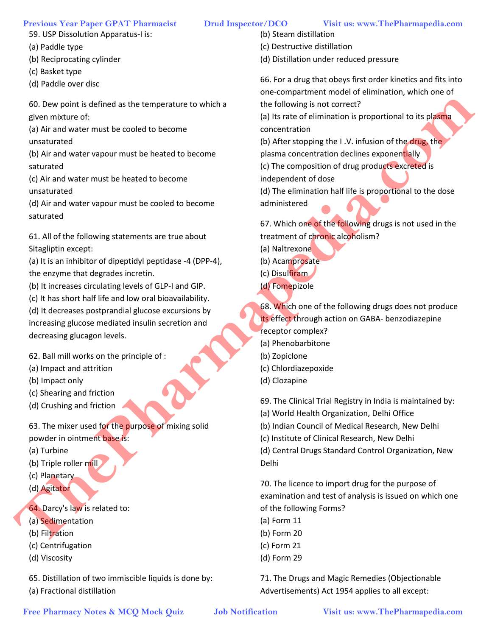- 59. USP Dissolution Apparatus-I is:
- (a) Paddle type
- (b) Reciprocating cylinder
- (c) Basket type
- (d) Paddle over disc

60. Dew point is defined as the temperature to which a given mixture of:

- (a) Air and water must be cooled to become
- unsaturated

(b) Air and water vapour must be heated to become saturated

(c) Air and water must be heated to become unsaturated

(d) Air and water vapour must be cooled to become saturated

61. All of the following statements are true about Sitagliptin except:

(a) It is an inhibitor of dipeptidyl peptidase -4 (DPP-4), the enzyme that degrades incretin.

- (b) It increases circulating levels of GLP-I and GIP.
- (c) It has short half life and low oral bioavailability.

(d) It decreases postprandial glucose excursions by increasing glucose mediated insulin secretion and decreasing glucagon levels.

62. Ball mill works on the principle of :

- (a) Impact and attrition
- (b) Impact only
- (c) Shearing and friction
- (d) Crushing and friction

63. The mixer used for the purpose of mixing solid powder in ointment base is:

- (a) Turbine
- (b) Triple roller mill
- (c) Planetary
- (d) Agitator
- 64. Darcy's law is related to:
- (a) Sedimentation
- (b) Filtration
- (c) Centrifugation
- (d) Viscosity

65. Distillation of two immiscible liquids is done by:

(a) Fractional distillation

- 
- (b) Steam distillation
- (c) Destructive distillation
- (d) Distillation under reduced pressure

66. For a drug that obeys first order kinetics and fits into one-compartment model of elimination, which one of the following is not correct?

(a) Its rate of elimination is proportional to its plasma concentration

(b) After stopping the I.V. infusion of the drug, the plasma concentration declines exponentially

(c) The composition of drug products excreted is independent of dose

(d) The elimination half life is proportional to the dose administered

67. Which one of the following drugs is not used in the treatment of chronic alcoholism?

- (a) Naltrexone
- (b) Acamprosate
- (c) Disulfiram
- (d) Fomepizole

68. Which one of the following drugs does not produce its effect through action on GABA- benzodiazepine receptor complex? Free Pharmacy stream of the temperature to which a the following in or comeaning to the composite to the following one is the finance must be heated to the temperature of the composite of the supplementation of the composi

- (a) Phenobarbitone
- (b) Zopiclone
- (c) Chlordiazepoxide
- (d) Clozapine

69. The Clinical Trial Registry in India is maintained by:

(a) World Health Organization, Delhi Office

(b) Indian Council of Medical Research, New Delhi

(c) Institute of Clinical Research, New Delhi

(d) Central Drugs Standard Control Organization, New Delhi

70. The licence to import drug for the purpose of examination and test of analysis is issued on which one of the following Forms?

- (a) Form 11
- (b) Form 20
- (c) Form 21
- (d) Form 29

71. The Drugs and Magic Remedies (Objectionable Advertisements) Act 1954 applies to all except: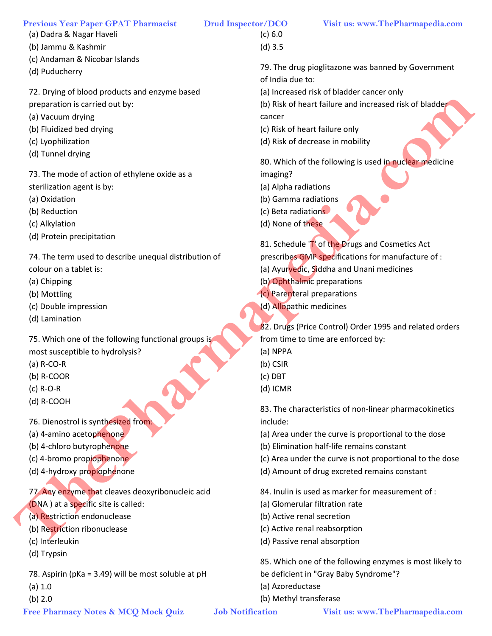- (a) Dadra & Nagar Haveli
- (b) Jammu & Kashmir
- (c) Andaman & Nicobar Islands
- (d) Puducherry
- 72. Drying of blood products and enzyme based
- preparation is carried out by:
- (a) Vacuum drying
- (b) Fluidized bed drying
- (c) Lyophilization
- (d) Tunnel drying

73. The mode of action of ethylene oxide as a sterilization agent is by:

- (a) Oxidation
- (b) Reduction
- (c) Alkylation
- (d) Protein precipitation

74. The term used to describe unequal distribution of colour on a tablet is: **Free Pharmacy Notification (a) Respect of the methods of the street of the street of the street of the methods (i) Fluiding (i) Thursdall distribution (i) Respect the methods of the street information (i) Respect to the m** 

- (a) Chipping
- (b) Mottling
- (c) Double impression
- (d) Lamination

75. Which one of the following functional groups is

- most susceptible to hydrolysis?
- (a) R-CO-R
- (b) R-COOR
- (c) R-O-R
- (d) R-COOH
- 76. Dienostrol is synthesized from:
- (a) 4-amino acetophenone
- (b) 4-chloro butyrophenone
- (c) 4-bromo propiophenone
- (d) 4-hydroxy propiophenone

77. Any enzyme that cleaves deoxyribonucleic acid (DNA ) at a specific site is called:

- (a) Restriction endonuclease
- (b) Restriction ribonuclease
- (c) Interleukin
- (d) Trypsin

78. Aspirin (pKa = 3.49) will be most soluble at pH

- (a) 1.0
- (b) 2.0

(c) 6.0 (d) 3.5

79. The drug pioglitazone was banned by Government of India due to:

(a) Increased risk of bladder cancer only

(b) Risk of heart failure and increased risk of bladder cancer

- (c) Risk of heart failure only
- (d) Risk of decrease in mobility

80. Which of the following is used in nuclear medicine imaging?

- (a) Alpha radiations
- (b) Gamma radiations
- (c) Beta radiations
- (d) None of these

81. Schedule 'T' of the Drugs and Cosmetics Act

- prescribes GMP specifications for manufacture of :
- (a) Ayurvedic, Siddha and Unani medicines
- (b) Ophthalmic preparations
- (c) Parenteral preparations
- (d) Allopathic medicines

82. Drugs (Price Control) Order 1995 and related orders from time to time are enforced by:

- (a) NPPA
- (b) CSIR
- (c) DBT
- (d) ICMR

83. The characteristics of non-linear pharmacokinetics include:

(a) Area under the curve is proportional to the dose

- (b) Elimination half-life remains constant
- (c) Area under the curve is not proportional to the dose
- (d) Amount of drug excreted remains constant

84. Inulin is used as marker for measurement of :

- (a) Glomerular filtration rate
- (b) Active renal secretion
- (c) Active renal reabsorption
- (d) Passive renal absorption

85. Which one of the following enzymes is most likely to be deficient in "Gray Baby Syndrome"?

- (a) Azoreductase
- (b) Methyl transferase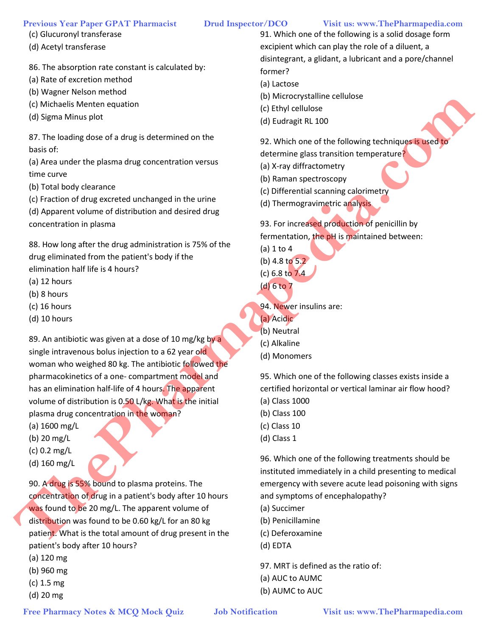## (c) Glucuronyl transferase

(d) Acetyl transferase

86. The absorption rate constant is calculated by:

- (a) Rate of excretion method
- (b) Wagner Nelson method
- (c) Michaelis Menten equation
- (d) Sigma Minus plot

87. The loading dose of a drug is determined on the basis of:

(a) Area under the plasma drug concentration versus time curve

- (b) Total body clearance
- (c) Fraction of drug excreted unchanged in the urine

(d) Apparent volume of distribution and desired drug concentration in plasma

88. How long after the drug administration is 75% of the drug eliminated from the patient's body if the elimination half life is 4 hours?

- (a) 12 hours
- (b) 8 hours
- (c) 16 hours
- (d) 10 hours

89. An antibiotic was given at a dose of 10 mg/kg by a single intravenous bolus injection to a 62 year old woman who weighed 80 kg. The antibiotic followed the pharmacokinetics of a one- compartment model and has an elimination half-life of 4 hours. The apparent volume of distribution is 0.50 L/kg. What is the initial plasma drug concentration in the woman? Free Pharmacy State Association of the Context Context Context Context Context Context Context Context Context Context Context Context Context Context Context Context Context Context Context Context Context Context Context

- (a) 1600 mg/L
- (b) 20 mg/L
- (c) 0.2 mg/L
- (d) 160 mg/L

90. A drug is 55% bound to plasma proteins. The concentration of drug in a patient's body after 10 hours was found to be 20 mg/L. The apparent volume of distribution was found to be 0.60 kg/L for an 80 kg patient. What is the total amount of drug present in the patient's body after 10 hours?

- (a) 120 mg
- (b) 960 mg
- (c) 1.5 mg
- (d) 20 mg

91. Which one of the following is a solid dosage form excipient which can play the role of a diluent, a disintegrant, a glidant, a lubricant and a pore/channel former?

- (a) Lactose
- (b) Microcrystalline cellulose
- (c) Ethyl cellulose
- (d) Eudragit RL 100

92. Which one of the following techniques is used to determine glass transition temperature?

- (a) X-ray diffractometry
- (b) Raman spectroscopy
- (c) Differential scanning calorimetry
- (d) Thermogravimetric analysis

93. For increased production of penicillin by fermentation, the pH is maintained between:

- (a) 1 to 4 (b) 4.8 to 5.2
- (c) 6.8 to 7.4

(d) 6 to 7

94. Newer insulins are:

- (a) Acidic
- (b) Neutral
- (c) Alkaline
- (d) Monomers

95. Which one of the following classes exists inside a certified horizontal or vertical laminar air flow hood?

- (a) Class 1000
- (b) Class 100
- (c) Class 10
- (d) Class 1

96. Which one of the following treatments should be instituted immediately in a child presenting to medical emergency with severe acute lead poisoning with signs and symptoms of encephalopathy?

- (a) Succimer
- (b) Penicillamine
- (c) Deferoxamine
- (d) EDTA

97. MRT is defined as the ratio of: (a) AUC to AUMC (b) AUMC to AUC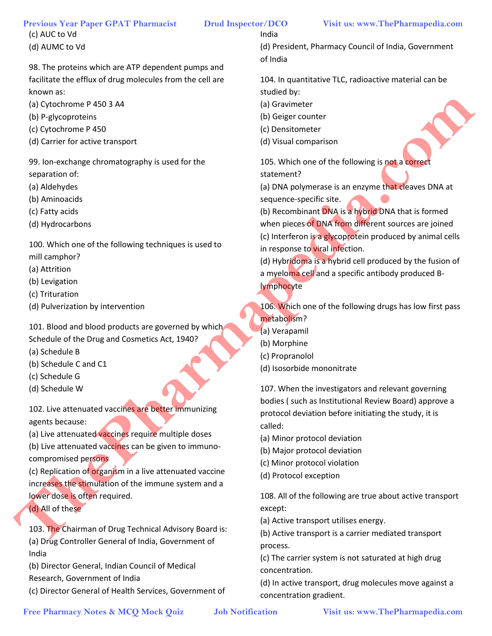(c) AUC to Vd

98. The proteins which are ATP dependent pumps and facilitate the efflux of drug molecules from the cell are known as:

- (a) Cytochrome P 450 3 A4
- (b) P-glycoproteins
- (c) Cytochrome P 450
- (d) Carrier for active transport

99. Ion-exchange chromatography is used for the separation of:

- (a) Aldehydes
- (b) Aminoacids
- (c) Fatty acids
- (d) Hydrocarbons

100. Which one of the following techniques is used to mill camphor?

- (a) Attrition
- (b) Levigation
- (c) Trituration
- (d) Pulverization by intervention

101. Blood and blood products are governed by which Schedule of the Drug and Cosmetics Act, 1940?

- (a) Schedule B
- (b) Schedule C and C1
- (c) Schedule G
- (d) Schedule W

102. Live attenuated vaccines are better immunizing agents because:

(a) Live attenuated vaccines require multiple doses

(b) Live attenuated vaccines can be given to immunocompromised persons

(c) Replication of organism in a live attenuated vaccine increases the stimulation of the immune system and a lower dose is often required.

(d) All of these

103. The Chairman of Drug Technical Advisory Board is: (a) Drug Controller General of India, Government of India

(b) Director General, Indian Council of Medical Research, Government of India

(c) Director General of Health Services, Government of

India

(d) President, Pharmacy Council of India, Government of India

104. In quantitative TLC, radioactive material can be studied by:

- (a) Gravimeter
- (b) Geiger counter
- (c) Densitometer
- (d) Visual comparison

105. Which one of the following is not a correct statement?

(a) DNA polymerase is an enzyme that cleaves DNA at sequence-specific site.

(b) Recombinant DNA is a hybrid DNA that is formed when pieces of DNA from different sources are joined (c) Interferon is a glycoprotein produced by animal cells in response to viral infection. Free Photography is used for the contents of the third interest of the third interest of the contents of the third interest of the third interest of the contents of the contents of the contents of the contents of the conte

(d) Hybridoma is a hybrid cell produced by the fusion of a myeloma cell and a specific antibody produced Blymphocyte

106. Which one of the following drugs has low first pass metabolism?

- (a) Verapamil
- (b) Morphine
- (c) Propranolol
- (d) Isosorbide mononitrate

107. When the investigators and relevant governing bodies ( such as Institutional Review Board) approve a protocol deviation before initiating the study, it is called:

- (a) Minor protocol deviation
- (b) Major protocol deviation
- (c) Minor protocol violation
- (d) Protocol exception

108. All of the following are true about active transport except:

(a) Active transport utilises energy.

(b) Active transport is a carrier mediated transport process.

(c) The carrier system is not saturated at high drug concentration.

(d) In active transport, drug molecules move against a concentration gradient.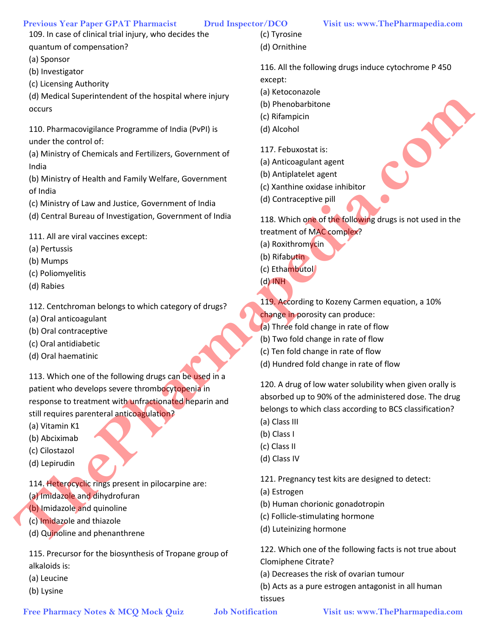109. In case of clinical trial injury, who decides the quantum of compensation?

(a) Sponsor

- (b) Investigator
- (c) Licensing Authority

(d) Medical Superintendent of the hospital where injury occurs

110. Pharmacovigilance Programme of India (PvPI) is under the control of:

(a) Ministry of Chemicals and Fertilizers, Government of India

(b) Ministry of Health and Family Welfare, Government of India

(c) Ministry of Law and Justice, Government of India

(d) Central Bureau of Investigation, Government of India

111. All are viral vaccines except:

- (a) Pertussis
- (b) Mumps
- (c) Poliomyelitis
- (d) Rabies

112. Centchroman belongs to which category of drugs?

- (a) Oral anticoagulant
- (b) Oral contraceptive
- (c) Oral antidiabetic
- (d) Oral haematinic

113. Which one of the following drugs can be used in a patient who develops severe thrombocytopenia in response to treatment with unfractionated heparin and still requires parenteral anticoagulation? **Free Pharmac Supervises and the filosoft in the film of the content of the state of the state of the state of the state of the state of the state of the state of the state of the state of the state of the state of the sta** 

- (a) Vitamin K1
- (b) Abciximab
- (c) Cilostazol
- (d) Lepirudin

114. Heterocyclic rings present in pilocarpine are: (a) Imidazole and dihydrofuran

- (b) Imidazole and quinoline
- (c) Imidazole and thiazole
- (d) Quinoline and phenanthrene

115. Precursor for the biosynthesis of Tropane group of alkaloids is:

- (a) Leucine
- (b) Lysine

(c) Tyrosine (d) Ornithine

116. All the following drugs induce cytochrome P 450 except:

- (a) Ketoconazole
- (b) Phenobarbitone
- (c) Rifampicin
- (d) Alcohol

117. Febuxostat is:

- (a) Anticoagulant agent
- (b) Antiplatelet agent
- (c) Xanthine oxidase inhibitor
- (d) Contraceptive pill

118. Which one of the following drugs is not used in the treatment of MAC complex?

- (a) Roxithromycin
- (b) Rifabutin
- (c) Ethambutol

(d) INH

- 119. According to Kozeny Carmen equation, a 10%
- change in porosity can produce:
- (a) Three fold change in rate of flow
- (b) Two fold change in rate of flow
- (c) Ten fold change in rate of flow
- (d) Hundred fold change in rate of flow

120. A drug of low water solubility when given orally is absorbed up to 90% of the administered dose. The drug belongs to which class according to BCS classification? (a) Class III

- (b) Class I
- (c) Class II
- (d) Class IV

121. Pregnancy test kits are designed to detect:

- (a) Estrogen
- (b) Human chorionic gonadotropin
- (c) Follicle-stimulating hormone
- (d) Luteinizing hormone

122. Which one of the following facts is not true about Clomiphene Citrate?

- (a) Decreases the risk of ovarian tumour
- (b) Acts as a pure estrogen antagonist in all human tissues